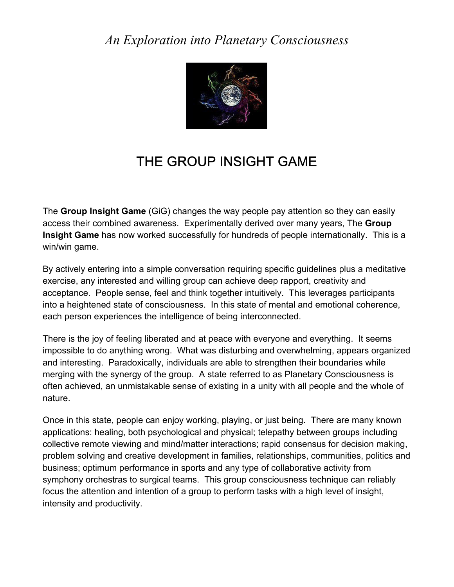

## THE GROUP INSIGHT GAME

The **Group Insight Game** (GiG) changes the way people pay attention so they can easily access their combined awareness. Experimentally derived over many years, The **Group Insight Game** has now worked successfully for hundreds of people internationally. This is a win/win game.

By actively entering into a simple conversation requiring specific guidelines plus a meditative exercise, any interested and willing group can achieve deep rapport, creativity and acceptance. People sense, feel and think together intuitively. This leverages participants into a heightened state of consciousness. In this state of mental and emotional coherence, each person experiences the intelligence of being interconnected.

There is the joy of feeling liberated and at peace with everyone and everything. It seems impossible to do anything wrong. What was disturbing and overwhelming, appears organized and interesting. Paradoxically, individuals are able to strengthen their boundaries while merging with the synergy of the group. A state referred to as Planetary Consciousness is often achieved, an unmistakable sense of existing in a unity with all people and the whole of nature.

Once in this state, people can enjoy working, playing, or just being. There are many known applications: healing, both psychological and physical; telepathy between groups including collective remote viewing and mind/matter interactions; rapid consensus for decision making, problem solving and creative development in families, relationships, communities, politics and business; optimum performance in sports and any type of collaborative activity from symphony orchestras to surgical teams. This group consciousness technique can reliably focus the attention and intention of a group to perform tasks with a high level of insight, intensity and productivity.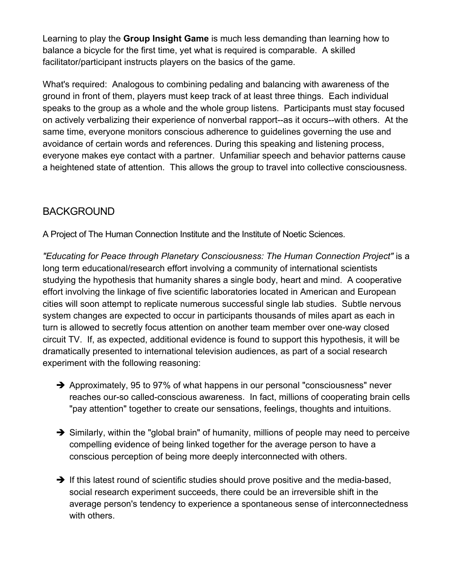Learning to play the **Group Insight Game** is much less demanding than learning how to balance a bicycle for the first time, yet what is required is comparable. A skilled facilitator/participant instructs players on the basics of the game.

What's required: Analogous to combining pedaling and balancing with awareness of the ground in front of them, players must keep track of at least three things. Each individual speaks to the group as a whole and the whole group listens. Participants must stay focused on actively verbalizing their experience of nonverbal rapport--as it occurs--with others. At the same time, everyone monitors conscious adherence to guidelines governing the use and avoidance of certain words and references. During this speaking and listening process, everyone makes eye contact with a partner. Unfamiliar speech and behavior patterns cause a heightened state of attention. This allows the group to travel into collective consciousness.

## BACKGROUND

A Project of The Human Connection Institute and the Institute of Noetic Sciences.

*"Educating for Peace through Planetary Consciousness: The Human Connection Project"* is a long term educational/research effort involving a community of international scientists studying the hypothesis that humanity shares a single body, heart and mind. A cooperative effort involving the linkage of five scientific laboratories located in American and European cities will soon attempt to replicate numerous successful single lab studies. Subtle nervous system changes are expected to occur in participants thousands of miles apart as each in turn is allowed to secretly focus attention on another team member over one-way closed circuit TV. If, as expected, additional evidence is found to support this hypothesis, it will be dramatically presented to international television audiences, as part of a social research experiment with the following reasoning:

- $\rightarrow$  Approximately, 95 to 97% of what happens in our personal "consciousness" never reaches our-so called-conscious awareness. In fact, millions of cooperating brain cells "pay attention" together to create our sensations, feelings, thoughts and intuitions.
- $\rightarrow$  Similarly, within the "global brain" of humanity, millions of people may need to perceive compelling evidence of being linked together for the average person to have a conscious perception of being more deeply interconnected with others.
- $\rightarrow$  If this latest round of scientific studies should prove positive and the media-based, social research experiment succeeds, there could be an irreversible shift in the average person's tendency to experience a spontaneous sense of interconnectedness with others.